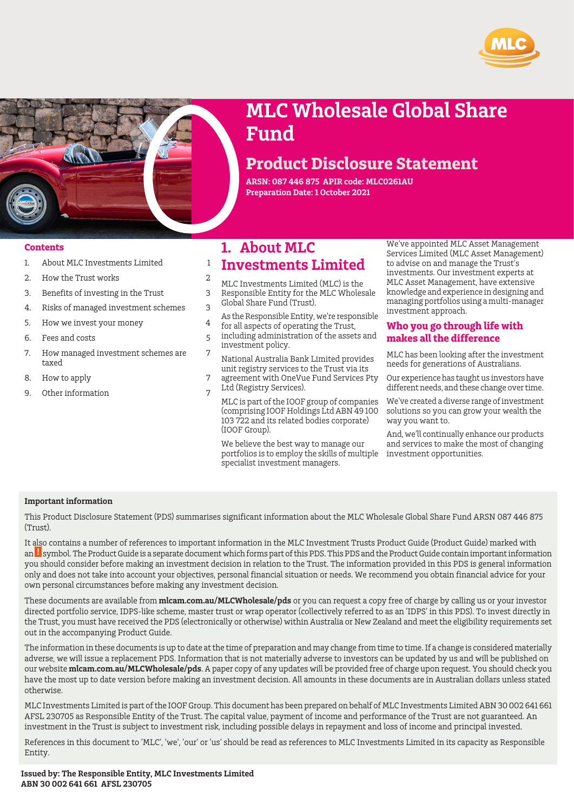



# **MLC Wholesale Global Share Fund**

# **Product Disclosure Statement**

**ARSN: 087 446 875 APIR code: MLC0261AU Preparation Date: 1 October 2021**

#### **Contents**

- 1. [About MLC Investments Limited](#page-0-0) [1](#page-0-0)
- 2. [How the Trust works](#page-1-0) [2](#page-1-0)
- 3. [Benefits of investing in the Trust](#page-2-0) [3](#page-2-0)
- 4. [Risks of managed investment schemes](#page-2-1) [3](#page-2-1)
- 5. [How we invest your money](#page-3-0) [4](#page-3-0)
- 6. [Fees and costs](#page-4-0) [5](#page-4-0)
- 7. [How managed investment schemes are](#page-6-0) [7](#page-6-0) [taxed](#page-6-0)
- 8. [How to apply](#page-6-1) [7](#page-6-1)
- 9. [Other information](#page-6-2) [7](#page-6-2)

## <span id="page-0-0"></span>**1. About MLC**

## **Investments Limited**

- MLC Investments Limited (MLC) is the
- Responsible Entity for the MLC Wholesale
- Global Share Fund (Trust).
- As the Responsible Entity, we're responsible for all aspects of operating the Trust,
- including administration of the assets and investment policy.
- National Australia Bank Limited provides unit registry services to the Trust via its
- agreement with OneVue Fund Services Pty Ltd (Registry Services).
	- MLC is part of the IOOF group of companies (comprising IOOF Holdings Ltd ABN 49 100 103 722 and its related bodies corporate) (IOOF Group).

We believe the best way to manage our portfolios is to employ the skills of multiple specialist investment managers.

We've appointed MLC Asset Management Services Limited (MLC Asset Management) to advise on and manage the Trust's investments. Our investment experts at MLC Asset Management, have extensive knowledge and experience in designing and managing portfolios using a multi-manager investment approach.

## **Who you go through life with makes all the difference**

MLC has been looking after the investment needs for generations of Australians.

Our experience has taught us investors have different needs, and these change over time.

We've created a diverse range of investment solutions so you can grow your wealth the way you want to.

And, we'll continually enhance our products and services to make the most of changing investment opportunities.

#### **Important information**

This Product Disclosure Statement (PDS) summarises significant information about the MLC Wholesale Global Share Fund ARSN 087 446 875  $(Triist)$ 

It also contains a number of references to important information in the MLC Investment Trusts Product Guide (Product Guide) marked with an **L** symbol. The Product Guide is a separate document which forms part of this PDS. This PDS and the Product Guide contain important information you should consider before making an investment decision in relation to the Trust. The information provided in this PDS is general information only and does not take into account your objectives, personal financial situation or needs. We recommend you obtain financial advice for your own personal circumstances before making any investment decision.

These documents are available from **[mlcam.com.au/MLCWholesale/pds](http://www.mlcam.com.au/MLCWholesale/pds)** or you can request a copy free of charge by calling us or your investor directed portfolio service, IDPS-like scheme, master trust or wrap operator (collectively referred to as an 'IDPS' in this PDS). To invest directly in the Trust, you must have received the PDS (electronically or otherwise) within Australia or New Zealand and meet the eligibility requirements set out in the accompanying Product Guide.

The information in these documents is up to date at the time of preparation and may change from time to time. If a change is considered materially adverse, we will issue a replacement PDS. Information that is not materially adverse to investors can be updated by us and will be published on our website **[mlcam.com.au/MLCWholesale/pds](http://www.mlcam.com.au/MLCWholesale/pds)**. A paper copy of any updates will be provided free of charge upon request. You should check you have the most up to date version before making an investment decision. All amounts in these documents are in Australian dollars unless stated otherwise.

MLC Investments Limited is part of the IOOF Group. This document has been prepared on behalf of MLC Investments Limited ABN 30 002 641 661 AFSL 230705 as Responsible Entity of the Trust. The capital value, payment of income and performance of the Trust are not guaranteed. An investment in the Trust is subject to investment risk, including possible delays in repayment and loss of income and principal invested.

References in this document to 'MLC', 'we', 'our' or 'us' should be read as references to MLC Investments Limited in its capacity as Responsible Entity.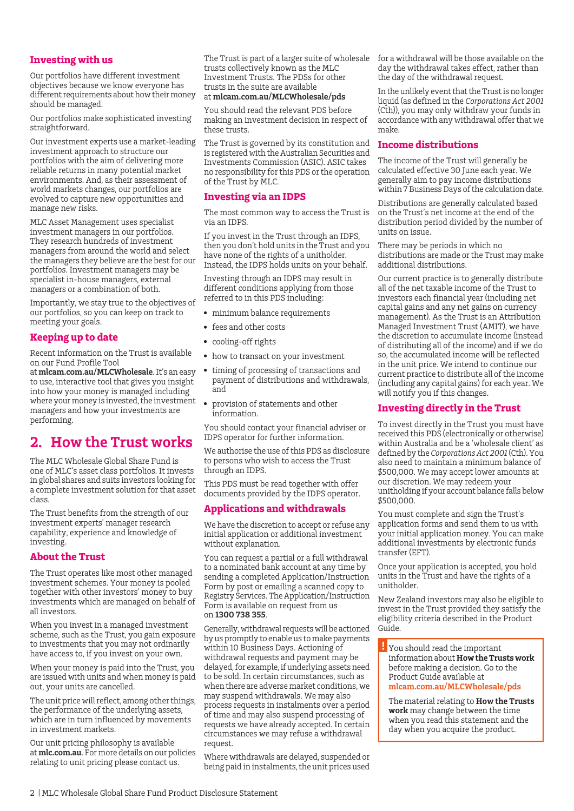## **Investing with us**

Our portfolios have different investment objectives because we know everyone has different requirements about how their money should be managed.

Our portfolios make sophisticated investing straightforward.

Our investment experts use a market-leading investment approach to structure our portfolios with the aim of delivering more reliable returns in many potential market environments. And, as their assessment of world markets changes, our portfolios are evolved to capture new opportunities and manage new risks.

MLC Asset Management uses specialist investment managers in our portfolios. They research hundreds of investment managers from around the world and select the managers they believe are the best for our portfolios. Investment managers may be specialist in-house managers, external managers or a combination of both.

Importantly, we stay true to the objectives of our portfolios, so you can keep on track to meeting your goals.

## **Keeping up to date**

Recent information on the Trust is available on our Fund Profile Tool

<span id="page-1-0"></span>at **[mlcam.com.au/MLCWholesale](http://www.mlcam.com.au/MLCWholesale)**. It's an easy to use, interactive tool that gives you insight into how your money is managed including where your money is invested, the investment managers and how your investments are performing.

## **2. How the Trust works**

The MLC Wholesale Global Share Fund is one of MLC's asset class portfolios. It invests in global shares and suits investors looking for a complete investment solution for that asset class.

The Trust benefits from the strength of our investment experts' manager research capability, experience and knowledge of investing.

## **About the Trust**

The Trust operates like most other managed investment schemes. Your money is pooled together with other investors' money to buy investments which are managed on behalf of all investors.

When you invest in a managed investment scheme, such as the Trust, you gain exposure to investments that you may not ordinarily have access to, if you invest on your own.

When your money is paid into the Trust, you are issued with units and when money is paid out, your units are cancelled.

The unit price will reflect, among other things, the performance of the underlying assets, which are in turn influenced by movements in investment markets.

Our unit pricing philosophy is available at **[mlc.com.au](https://www.mlc.com.au/personal/nav_top/about-mlc/about-super-investments/unit-price-philosophy)**. For more details on our policies relating to unit pricing please contact us.

trusts collectively known as the MLC Investment Trusts. The PDSs for other trusts in the suite are available at **[mlcam.com.au/MLCWholesale/pds](http://www.mlcam.com.au/MLCWholesale/pds)**

You should read the relevant PDS before making an investment decision in respect of these trusts.

The Trust is governed by its constitution and is registered with the Australian Securities and Investments Commission (ASIC). ASIC takes no responsibility for this PDS or the operation of the Trust by MLC.

### **Investing via an IDPS**

The most common way to access the Trust is via an IDPS.

If you invest in the Trust through an IDPS, then you don't hold units in the Trust and you have none of the rights of a unitholder. Instead, the IDPS holds units on your behalf.

Investing through an IDPS may result in different conditions applying from those referred to in this PDS including:

- minimum balance requirements
- fees and other costs
- cooling-off rights
- how to transact on your investment
- timing of processing of transactions and payment of distributions and withdrawals, and
- provision of statements and other information.

You should contact your financial adviser or IDPS operator for further information.

We authorise the use of this PDS as disclosure to persons who wish to access the Trust through an IDPS.

This PDS must be read together with offer documents provided by the IDPS operator.

## **Applications and withdrawals**

We have the discretion to accept or refuse any initial application or additional investment without explanation.

You can request a partial or a full withdrawal to a nominated bank account at any time by sending a completed Application/Instruction Form by post or emailing a scanned copy to Registry Services. The Application/Instruction Form is available on request from us on **1300 738 355**.

Generally, withdrawal requests will be actioned by us promptly to enable us to make payments within 10 Business Days. Actioning of withdrawal requests and payment may be delayed, for example, if underlying assets need to be sold. In certain circumstances, such as when there are adverse market conditions, we may suspend withdrawals. We may also process requests in instalments over a period of time and may also suspend processing of requests we have already accepted. In certain circumstances we may refuse a withdrawal request.

Where withdrawals are delayed, suspended or being paid in instalments, the unit prices used

The Trust is part of a larger suite of wholesale  $\;$  for a withdrawal will be those available on the day the withdrawal takes effect, rather than the day of the withdrawal request.

> In the unlikely event that the Trust is no longer liquid (as defined in the *Corporations Act 2001* (Cth)), you may only withdraw your funds in accordance with any withdrawal offer that we make.

### **Income distributions**

The income of the Trust will generally be calculated effective 30 June each year. We generally aim to pay income distributions within 7 Business Days of the calculation date.

Distributions are generally calculated based on the Trust's net income at the end of the distribution period divided by the number of units on issue.

There may be periods in which no distributions are made or the Trust may make additional distributions.

Our current practice is to generally distribute all of the net taxable income of the Trust to investors each financial year (including net capital gains and any net gains on currency management). As the Trust is an Attribution Managed Investment Trust (AMIT), we have the discretion to accumulate income (instead of distributing all of the income) and if we do so, the accumulated income will be reflected in the unit price. We intend to continue our current practice to distribute all of the income (including any capital gains) for each year. We will notify you if this changes.

## **Investing directly in the Trust**

To invest directly in the Trust you must have received this PDS (electronically or otherwise) within Australia and be a 'wholesale client' as defined by the *Corporations Act 2001* (Cth).You also need to maintain a minimum balance of \$500,000. We may accept lower amounts at our discretion. We may redeem your unitholding if your account balance falls below \$500,000.

You must complete and sign the Trust's application forms and send them to us with your initial application money. You can make additional investments by electronic funds transfer (EFT).

Once your application is accepted, you hold units in the Trust and have the rights of a unitholder.

New Zealand investors may also be eligible to invest in the Trust provided they satisfy the eligibility criteria described in the Product Guide.

You should read the important information about **How the Trusts work** before making a decision. Go to the Product Guide available at **[mlcam.com.au/MLCWholesale/pds](http://www.mlcam.com.au/MLCWholesale/pds)**

The material relating to **How the Trusts work** may change between the time when you read this statement and the day when you acquire the product.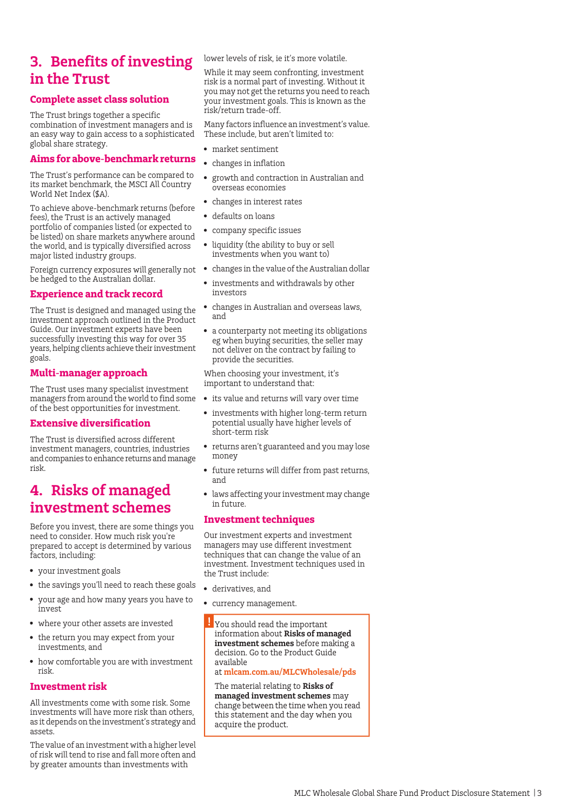## <span id="page-2-0"></span>**3. Benefits of investing in the Trust**

## **Complete asset class solution**

The Trust brings together a specific combination of investment managers and is an easy way to gain access to a sophisticated global share strategy.

## **Aims for above-benchmark returns**

The Trust's performance can be compared to its market benchmark, the MSCI All Country World Net Index (\$A).

To achieve above-benchmark returns (before fees), the Trust is an actively managed portfolio of companies listed (or expected to be listed) on share markets anywhere around the world, and is typically diversified across major listed industry groups.

Foreign currency exposures will generally not be hedged to the Australian dollar.

## **Experience and track record**

The Trust is designed and managed using the investment approach outlined in the Product Guide. Our investment experts have been successfully investing this way for over 35 years, helping clients achieve their investment goals.

## **Multi-manager approach**

The Trust uses many specialist investment managers from around the world to find some of the best opportunities for investment.

## **Extensive diversification**

<span id="page-2-1"></span>The Trust is diversified across different investment managers, countries, industries and companies to enhance returns and manage risk.

## **4. Risks of managed investment schemes**

Before you invest, there are some things you need to consider. How much risk you're prepared to accept is determined by various factors, including:

- your investment goals
- the savings you'll need to reach these goals
- your age and how many years you have to invest
- where your other assets are invested
- the return you may expect from your investments, and
- how comfortable you are with investment risk.

## **Investment risk**

All investments come with some risk. Some investments will have more risk than others, as it depends on the investment's strategy and assets.

The value of an investment with a higher level of risk will tend to rise and fall more often and by greater amounts than investments with

lower levels of risk, ie it's more volatile.

While it may seem confronting, investment risk is a normal part of investing. Without it you may not get the returns you need to reach your investment goals. This is known as the risk/return trade-off.

Many factors influence an investment's value. These include, but aren't limited to:

- market sentiment
- changes in inflation
- growth and contraction in Australian and overseas economies
- changes in interest rates
- defaults on loans
- company specific issues
- liquidity (the ability to buy or sell investments when you want to)
- changes in the value of the Australian dollar
- investments and withdrawals by other investors
- changes in Australian and overseas laws, and
- a counterparty not meeting its obligations eg when buying securities, the seller may not deliver on the contract by failing to provide the securities.

When choosing your investment, it's important to understand that:

- its value and returns will vary over time
- investments with higher long-term return potential usually have higher levels of short-term risk
- returns aren't guaranteed and you may lose money
- future returns will differ from past returns, and
- laws affecting your investment may change in future.

## **Investment techniques**

Our investment experts and investment managers may use different investment techniques that can change the value of an investment. Investment techniques used in the Trust include:

- derivatives, and
- currency management.
- You should read the important information about **Risks of managed investment schemes** before making a decision. Go to the Product Guide available at **[mlcam.com.au/MLCWholesale/pds](http://www.mlcam.com.au/MLCWholesale/pds)**

The material relating to **Risks of**

**managed investment schemes** may change between the time when you read this statement and the day when you acquire the product.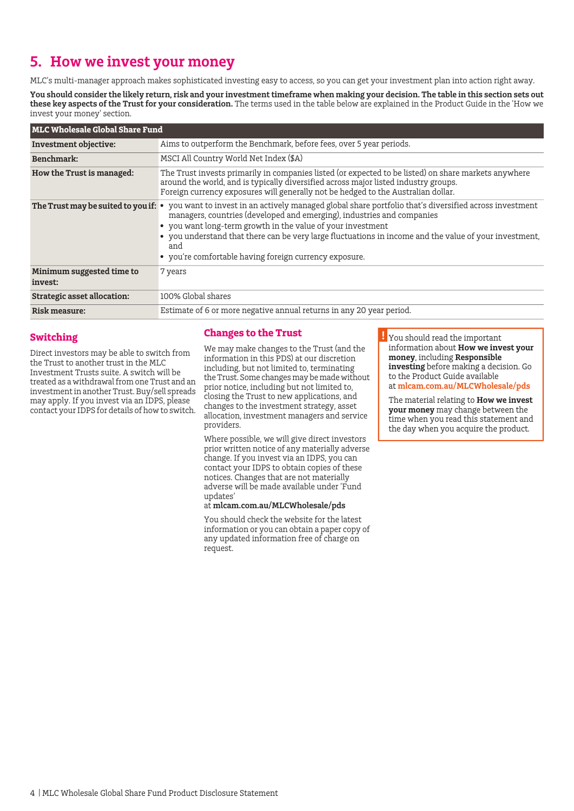## <span id="page-3-0"></span>**5. How we invest your money**

MLC's multi-manager approach makes sophisticated investing easy to access, so you can get your investment plan into action right away.

**You should consider the likely return, risk and your investment timeframe when making your decision. The table in this section sets out these key aspects of the Trust for your consideration.** The terms used in the table below are explained in the Product Guide in the 'How we invest your money' section.

| <b>MLC Wholesale Global Share Fund</b> |                                                                                                                                                                                                                                                                                                                                                                                                                           |  |
|----------------------------------------|---------------------------------------------------------------------------------------------------------------------------------------------------------------------------------------------------------------------------------------------------------------------------------------------------------------------------------------------------------------------------------------------------------------------------|--|
| Investment objective:                  | Aims to outperform the Benchmark, before fees, over 5 year periods.                                                                                                                                                                                                                                                                                                                                                       |  |
| Benchmark:                             | MSCI All Country World Net Index (\$A)                                                                                                                                                                                                                                                                                                                                                                                    |  |
| How the Trust is managed:              | The Trust invests primarily in companies listed (or expected to be listed) on share markets anywhere<br>around the world, and is typically diversified across major listed industry groups.<br>Foreign currency exposures will generally not be hedged to the Australian dollar.                                                                                                                                          |  |
| The Trust may be suited to you if: •   | you want to invest in an actively managed global share portfolio that's diversified across investment<br>managers, countries (developed and emerging), industries and companies<br>• you want long-term growth in the value of your investment<br>• you understand that there can be very large fluctuations in income and the value of your investment,<br>and<br>• you're comfortable having foreign currency exposure. |  |
| Minimum suggested time to<br>invest:   | 7 years                                                                                                                                                                                                                                                                                                                                                                                                                   |  |
| <b>Strategic asset allocation:</b>     | 100% Global shares                                                                                                                                                                                                                                                                                                                                                                                                        |  |
| Risk measure:                          | Estimate of 6 or more negative annual returns in any 20 year period.                                                                                                                                                                                                                                                                                                                                                      |  |

## **Switching**

Direct investors may be able to switch from the Trust to another trust in the MLC Investment Trusts suite. A switch will be treated as a withdrawal from one Trust and an investment in another Trust. Buy/sell spreads may apply. If you invest via an IDPS, please contact your IDPS for details of how to switch.

## **Changes to the Trust**

We may make changes to the Trust (and the information in this PDS) at our discretion including, but not limited to, terminating the Trust. Some changes may be made without prior notice, including but not limited to, closing the Trust to new applications, and changes to the investment strategy, asset allocation, investment managers and service providers.

Where possible, we will give direct investors prior written notice of any materially adverse change. If you invest via an IDPS, you can contact your IDPS to obtain copies of these notices. Changes that are not materially adverse will be made available under 'Fund updates'

at **[mlcam.com.au/MLCWholesale/pds](https://www.mlcam.com.au/MLCWholesale/pds)**

You should check the website for the latest information or you can obtain a paper copy of any updated information free of charge on request.

 $\overline{\mathbf{B}}$  You should read the important information about **How we invest your money**, including **Responsible investing** before making a decision. Go to the Product Guide available at **[mlcam.com.au/MLCWholesale/pds](http://www.mlcam.com.au/MLCWholesale/pds)**

The material relating to **How we invest your money** may change between the time when you read this statement and the day when you acquire the product*.*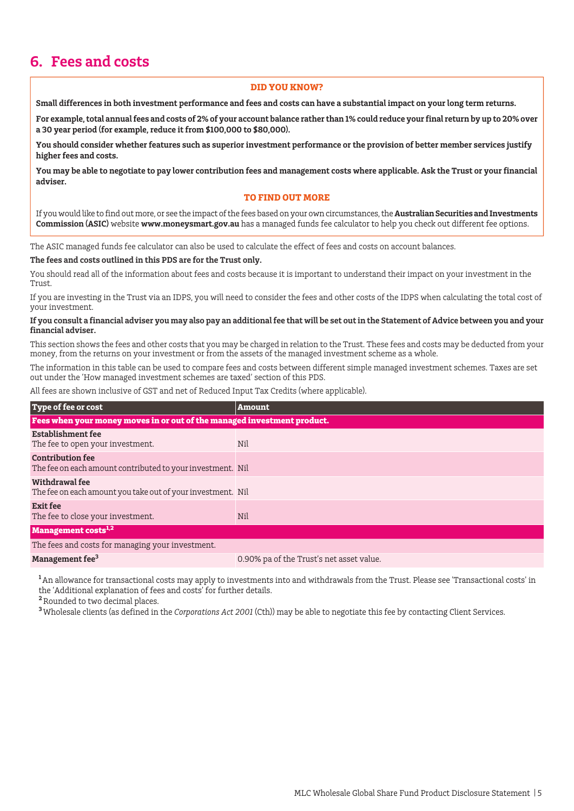## <span id="page-4-0"></span>**6. Fees and costs**

#### **DID YOU KNOW?**

**Small differences in both investment performance and fees and costs can have a substantial impact on your long term returns.**

**For example, total annual fees and costs of 2% of your account balance rather than 1% could reduce your final return by up to 20% over a 30 year period (for example, reduce it from \$100,000 to \$80,000).**

**You should consider whether features such as superior investment performance or the provision of better member services justify higher fees and costs.**

**You may be able to negotiate to pay lower contribution fees and management costs where applicable. Ask the Trust or your financial adviser.**

#### **TO FIND OUT MORE**

If you would like to find out more, or see the impact of the fees based on your own circumstances, the **Australian Securities and Investments Commission (ASIC)** website **www.moneysmart.gov.au** has a managed funds fee calculator to help you check out different fee options.

The ASIC managed funds fee calculator can also be used to calculate the effect of fees and costs on account balances.

#### **The fees and costs outlined in this PDS are for the Trust only.**

You should read all of the information about fees and costs because it is important to understand their impact on your investment in the Trust.

If you are investing in the Trust via an IDPS, you will need to consider the fees and other costs of the IDPS when calculating the total cost of your investment.

#### **If you consult a financial adviser you may also pay an additional fee that will be set out in the Statement of Advice between you and your financial adviser.**

This section shows the fees and other costs that you may be charged in relation to the Trust. These fees and costs may be deducted from your money, from the returns on your investment or from the assets of the managed investment scheme as a whole.

The information in this table can be used to compare fees and costs between different simple managed investment schemes. Taxes are set out under the 'How managed investment schemes are taxed' section of this PDS.

All fees are shown inclusive of GST and net of Reduced Input Tax Credits (where applicable).

| Type of fee or cost                                                                   | <b>Amount</b>                            |  |  |  |
|---------------------------------------------------------------------------------------|------------------------------------------|--|--|--|
| Fees when your money moves in or out of the managed investment product.               |                                          |  |  |  |
| Establishment fee<br>The fee to open your investment.                                 | Nil                                      |  |  |  |
| <b>Contribution fee</b><br>The fee on each amount contributed to your investment. Nil |                                          |  |  |  |
| Withdrawal fee<br>The fee on each amount you take out of your investment. Nil         |                                          |  |  |  |
| <b>Exit fee</b><br>The fee to close your investment.                                  | Nil                                      |  |  |  |
| <b>Management costs<sup>1,2</sup></b>                                                 |                                          |  |  |  |
| The fees and costs for managing your investment.                                      |                                          |  |  |  |
| Management fee <sup>3</sup>                                                           | 0.90% pa of the Trust's net asset value. |  |  |  |

<sup>1</sup> An allowance for transactional costs may apply to investments into and withdrawals from the Trust. Please see 'Transactional costs' in the 'Additional explanation of fees and costs' for further details.

**<sup>2</sup>**Rounded to two decimal places.

**<sup>3</sup>**Wholesale clients (as defined in the *Corporations Act 2001* (Cth)) may be able to negotiate this fee by contacting Client Services.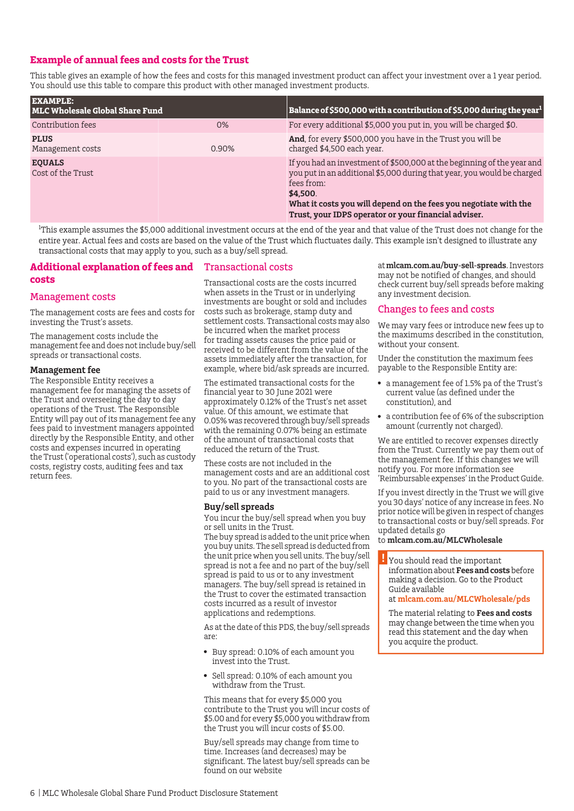## **Example of annual fees and costs for the Trust**

This table gives an example of how the fees and costs for this managed investment product can affect your investment over a 1 year period. You should use this table to compare this product with other managed investment products.

| <b>EXAMPLE:</b><br><b>MLC Wholesale Global Share Fund</b> |       | Balance of \$500,000 with a contribution of \$5,000 during the year $^{\rm 1}$                                                                                                                                                                                                                          |
|-----------------------------------------------------------|-------|---------------------------------------------------------------------------------------------------------------------------------------------------------------------------------------------------------------------------------------------------------------------------------------------------------|
| Contribution fees                                         | 0%    | For every additional \$5,000 you put in, you will be charged \$0.                                                                                                                                                                                                                                       |
| <b>PLUS</b><br>Management costs                           | 0.90% | And, for every \$500,000 you have in the Trust you will be<br>charged \$4,500 each year.                                                                                                                                                                                                                |
| <b>EQUALS</b><br>Cost of the Trust                        |       | If you had an investment of \$500,000 at the beginning of the year and<br>you put in an additional \$5,000 during that year, you would be charged<br>fees from:<br>\$4.500.<br>What it costs you will depend on the fees you negotiate with the<br>Trust, your IDPS operator or your financial adviser. |

<sup>1</sup>This example assumes the \$5,000 additional investment occurs at the end of the year and that value of the Trust does not change for the entire year. Actual fees and costs are based on the value of the Trust which fluctuates daily. This example isn't designed to illustrate any transactional costs that may apply to you, such as a buy/sell spread.

## **Additional explanation of fees and** Transactional costs

#### **costs**

### Management costs

The management costs are fees and costs for investing the Trust's assets.

The management costs include the management fee and does not include buy/sell spreads or transactional costs.

#### **Management fee**

The Responsible Entity receives a management fee for managing the assets of the Trust and overseeing the day to day operations of the Trust. The Responsible Entity will pay out of its management fee any fees paid to investment managers appointed directly by the Responsible Entity, and other costs and expenses incurred in operating the Trust ('operational costs'), such as custody costs, registry costs, auditing fees and tax return fees.

Transactional costs are the costs incurred when assets in the Trust or in underlying investments are bought or sold and includes costs such as brokerage, stamp duty and settlement costs. Transactional costs may also be incurred when the market process for trading assets causes the price paid or received to be different from the value of the assets immediately after the transaction, for example, where bid/ask spreads are incurred.

The estimated transactional costs for the financial year to 30 June 2021 were approximately 0.12% of the Trust's net asset value. Of this amount, we estimate that 0.05% was recovered through buy/sell spreads with the remaining 0.07% being an estimate of the amount of transactional costs that reduced the return of the Trust.

These costs are not included in the management costs and are an additional cost to you. No part of the transactional costs are paid to us or any investment managers.

#### **Buy/sell spreads**

You incur the buy/sell spread when you buy or sell units in the Trust.

The buy spread is added to the unit price when you buy units. The sell spread is deducted from the unit price when you sell units. The buy/sell spread is not a fee and no part of the buy/sell spread is paid to us or to any investment managers. The buy/sell spread is retained in the Trust to cover the estimated transaction costs incurred as a result of investor applications and redemptions.

As at the date of this PDS, the buy/sell spreads are:

- Buy spread: 0.10% of each amount you invest into the Trust.
- Sell spread: 0.10% of each amount you withdraw from the Trust.

This means that for every \$5,000 you contribute to the Trust you will incur costs of \$5.00 and for every \$5,000 you withdraw from the Trust you will incur costs of \$5.00.

Buy/sell spreads may change from time to time. Increases (and decreases) may be significant. The latest buy/sell spreads can be found on our website

at**[mlcam.com.au/buy-sell-spreads](https://www.mlcam.com.au/investing-with-us/buy-sell-spreads)**. Investors may not be notified of changes, and should check current buy/sell spreads before making any investment decision.

#### Changes to fees and costs

We may vary fees or introduce new fees up to the maximums described in the constitution, without your consent.

Under the constitution the maximum fees payable to the Responsible Entity are:

- a management fee of 1.5% pa of the Trust's current value (as defined under the constitution), and
- a contribution fee of 6% of the subscription amount (currently not charged).

We are entitled to recover expenses directly from the Trust. Currently we pay them out of the management fee. If this changes we will notify you. For more information see 'Reimbursable expenses' in the Product Guide.

If you invest directly in the Trust we will give you 30 days' notice of any increase in fees. No prior notice will be given in respect of changes to transactional costs or buy/sell spreads. For updated details go

to **[mlcam.com.au/MLCWholesale](http://www.mlcam.com.au/MLCWholesale)**

You should read the important information about **Fees and costs** before making a decision. Go to the Product Guide available at **[mlcam.com.au/MLCWholesale/pds](http://www.mlcam.com.au/MLCWholesale/pds)**

The material relating to **Fees and costs** may change between the time when you read this statement and the day when you acquire the product.